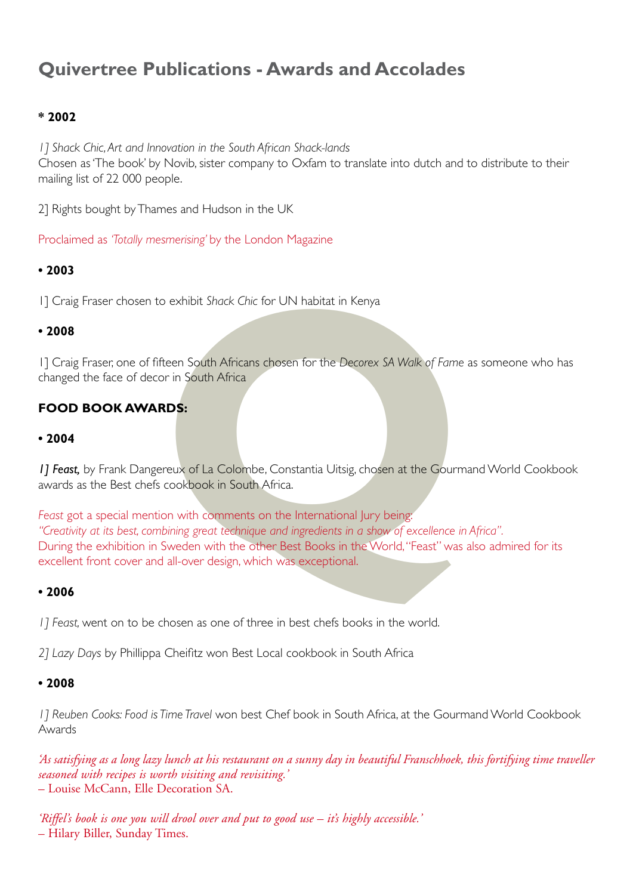# **Quivertree Publications - Awards and Accolades**

### **\* 2002**

*1] Shack Chic, Art and Innovation in the South African Shack-lands* Chosen as 'The book' by Novib, sister company to Oxfam to translate into dutch and to distribute to their mailing list of 22 000 people.

2] Rights bought by Thames and Hudson in the UK

Proclaimed as *'Totally mesmerising'* by the London Magazine

#### **• 2003**

1] Craig Fraser chosen to exhibit *Shack Chic* for UN habitat in Kenya

#### **• 2008**

1] Craig Fraser, one of fifteen South Africans chosen for the *Decorex SA Walk of Fame* as someone who has changed the face of decor in South Africa

## **food book awards:**

#### **• 2004**

1] Feast, by Frank Dangereux of La Colombe, Constantia Uitsig, chosen at the Gourmand World Cookbook awards as the Best chefs cookbook in South Africa.

o exhibit *Shack Chic* for UN habitat in Kenya<br>
freen South Africans chosen for the Decorex SA Walk of Fame<br>
or in South Africa<br> **RDS:**<br>
SPOS:<br>
SPOS:<br>
SPOS:<br>
A Colombe, Constantia Uitsig, chosen at the Gourn<br>
cookbook in S *Feast* got a special mention with comments on the International Jury being: *"Creativity at its best, combining great technique and ingredients in a show of excellence in Africa".* During the exhibition in Sweden with the other Best Books in the World, "Feast" was also admired for its excellent front cover and all-over design, which was exceptional.

#### **• 2006**

*1] Feast,* went on to be chosen as one of three in best chefs books in the world.

*2] Lazy Days* by Phillippa Cheifitz won Best Local cookbook in South Africa

#### **• 2008**

*1] Reuben Cooks: Food is Time Travel* won best Chef book in South Africa, at the Gourmand World Cookbook Awards

*'As satisfying as a long lazy lunch at his restaurant on a sunny day in beautiful Franschhoek, this fortifying time traveller seasoned with recipes is worth visiting and revisiting.'*  – Louise McCann, Elle Decoration SA.

*'Riffel's book is one you will drool over and put to good use – it's highly accessible.'*  – Hilary Biller, Sunday Times.